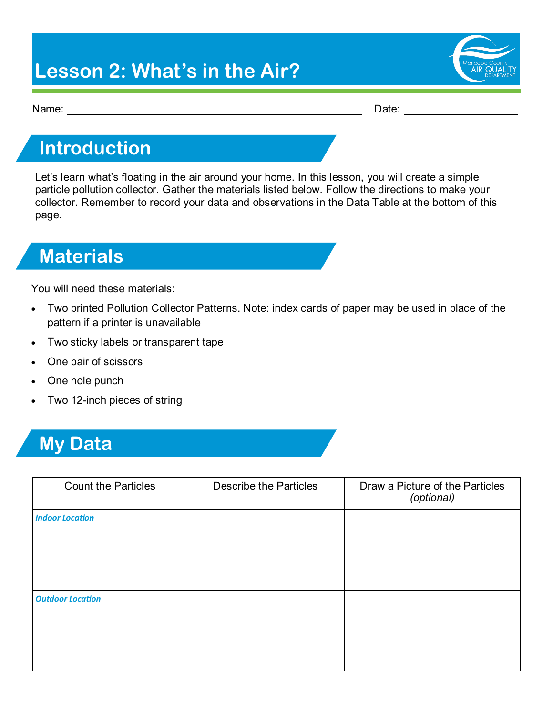## **Lesson 2: What's in the Air?**



Name: Date:

### **Introduction**

Let's learn what's floating in the air around your home. In this lesson, you will create a simple particle pollution collector. Gather the materials listed below. Follow the directions to make your collector. Remember to record your data and observations in the Data Table at the bottom of this page.

## **Materials**

You will need these materials:

- Two printed Pollution Collector Patterns. Note: index cards of paper may be used in place of the pattern if a printer is unavailable
- Two sticky labels or transparent tape
- One pair of scissors
- One hole punch
- Two 12-inch pieces of string

### **My Data**

| <b>Count the Particles</b> | <b>Describe the Particles</b> | Draw a Picture of the Particles<br>(optional) |
|----------------------------|-------------------------------|-----------------------------------------------|
| <b>Indoor Location</b>     |                               |                                               |
| <b>Outdoor Location</b>    |                               |                                               |